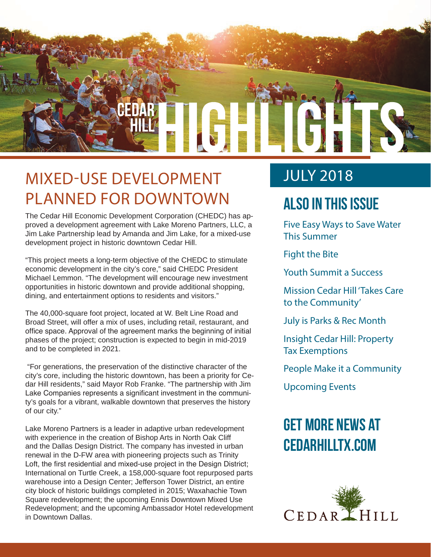

## MIXED-USE DEVELOPMENT PLANNED FOR DOWNTOWN

The Cedar Hill Economic Development Corporation (CHEDC) has approved a development agreement with Lake Moreno Partners, LLC, a Jim Lake Partnership lead by Amanda and Jim Lake, for a mixed-use development project in historic downtown Cedar Hill.

"This project meets a long-term objective of the CHEDC to stimulate economic development in the city's core," said CHEDC President Michael Lemmon. "The development will encourage new investment opportunities in historic downtown and provide additional shopping, dining, and entertainment options to residents and visitors."

The 40,000-square foot project, located at W. Belt Line Road and Broad Street, will offer a mix of uses, including retail, restaurant, and office space. Approval of the agreement marks the beginning of initial phases of the project; construction is expected to begin in mid-2019 and to be completed in 2021.

 "For generations, the preservation of the distinctive character of the city's core, including the historic downtown, has been a priority for Cedar Hill residents," said Mayor Rob Franke. "The partnership with Jim Lake Companies represents a significant investment in the community's goals for a vibrant, walkable downtown that preserves the history of our city."

Lake Moreno Partners is a leader in adaptive urban redevelopment with experience in the creation of Bishop Arts in North Oak Cliff and the Dallas Design District. The company has invested in urban renewal in the D-FW area with pioneering projects such as Trinity Loft, the first residential and mixed-use project in the Design District; International on Turtle Creek, a 158,000-square foot repurposed parts warehouse into a Design Center; Jefferson Tower District, an entire city block of historic buildings completed in 2015; Waxahachie Town Square redevelopment; the upcoming Ennis Downtown Mixed Use Redevelopment; and the upcoming Ambassador Hotel redevelopment in Downtown Dallas.

### JULY 2018

### **Also In this Issue**

Five Easy Ways to Save Water This Summer

Fight the Bite

Youth Summit a Success

Mission Cedar Hill 'Takes Care to the Community'

July is Parks & Rec Month

Insight Cedar Hill: Property Tax Exemptions

People Make it a Community

Upcoming Events

## **Get more news at cedarhilltx.com**

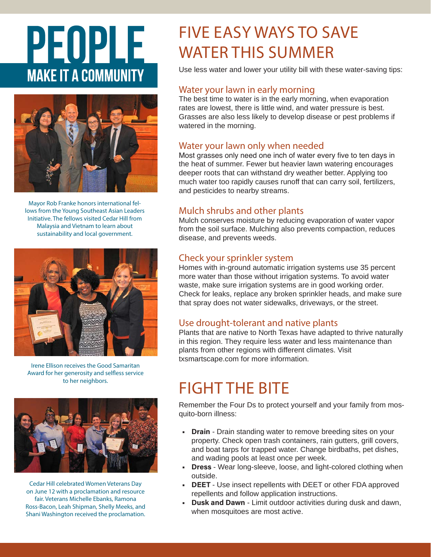# PEOPLE **MAKE IT A COMMUNITY**



Mayor Rob Franke honors international fellows from the Young Southeast Asian Leaders Initiative. The fellows visited Cedar Hill from Malaysia and Vietnam to learn about sustainability and local government.



Irene Ellison receives the Good Samaritan Award for her generosity and selfless service to her neighbors.



Cedar Hill celebrated Women Veterans Day on June 12 with a proclamation and resource fair. Veterans Michelle Ebanks, Ramona Ross-Bacon, Leah Shipman, Shelly Meeks, and Shani Washington received the proclamation.

## FIVE EASY WAYS TO SAVE WATER THIS SUMMER

Use less water and lower your utility bill with these water-saving tips:

### Water your lawn in early morning

The best time to water is in the early morning, when evaporation rates are lowest, there is little wind, and water pressure is best. Grasses are also less likely to develop disease or pest problems if watered in the morning.

### Water your lawn only when needed

Most grasses only need one inch of water every five to ten days in the heat of summer. Fewer but heavier lawn watering encourages deeper roots that can withstand dry weather better. Applying too much water too rapidly causes runoff that can carry soil, fertilizers, and pesticides to nearby streams.

### Mulch shrubs and other plants

Mulch conserves moisture by reducing evaporation of water vapor from the soil surface. Mulching also prevents compaction, reduces disease, and prevents weeds.

### Check your sprinkler system

Homes with in-ground automatic irrigation systems use 35 percent more water than those without irrigation systems. To avoid water waste, make sure irrigation systems are in good working order. Check for leaks, replace any broken sprinkler heads, and make sure that spray does not water sidewalks, driveways, or the street.

### Use drought-tolerant and native plants

Plants that are native to North Texas have adapted to thrive naturally in this region. They require less water and less maintenance than plants from other regions with different climates. Visit txsmartscape.com for more information.

## FIGHT THE BITE

Remember the Four Ds to protect yourself and your family from mosquito-born illness:

- **• Drain** Drain standing water to remove breeding sites on your property. Check open trash containers, rain gutters, grill covers, and boat tarps for trapped water. Change birdbaths, pet dishes, and wading pools at least once per week.
- **• Dress**  Wear long-sleeve, loose, and light-colored clothing when outside.
- **• DEET**  Use insect repellents with DEET or other FDA approved repellents and follow application instructions.
- **• Dusk and Dawn** Limit outdoor activities during dusk and dawn, when mosquitoes are most active.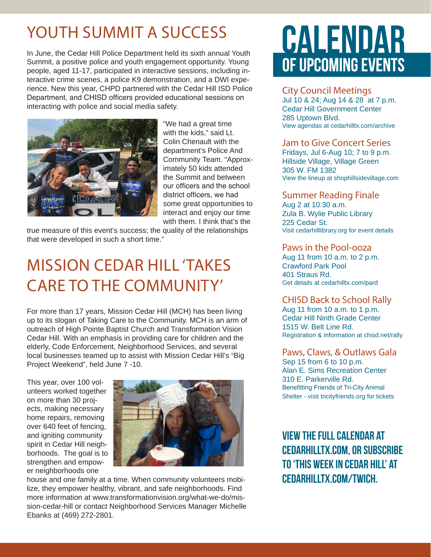## YOUTH SUMMIT A SUCCESS

In June, the Cedar Hill Police Department held its sixth annual Youth Summit, a positive police and youth engagement opportunity. Young people, aged 11-17, participated in interactive sessions, including interactive crime scenes, a police K9 demonstration, and a DWI experience. New this year, CHPD partnered with the Cedar Hill ISD Police Department, and CHISD officers provided educational sessions on interacting with police and social media safety.



"We had a great time with the kids," said Lt. Colin Chenault with the department's Police And Community Team. "Approximately 50 kids attended the Summit and between our officers and the school district officers, we had some great opportunities to interact and enjoy our time with them. I think that's the

true measure of this event's success; the quality of the relationships that were developed in such a short time."

## MISSION CEDAR HILL 'TAKES CARE TO THE COMMUNITY'

For more than 17 years, Mission Cedar Hill (MCH) has been living up to its slogan of Taking Care to the Community. MCH is an arm of outreach of High Pointe Baptist Church and Transformation Vision Cedar Hill. With an emphasis in providing care for children and the elderly, Code Enforcement, Neighborhood Services, and several local businesses teamed up to assist with Mission Cedar Hill's "Big Project Weekend", held June 7 -10.

This year, over 100 volunteers worked together on more than 30 projects, making necessary home repairs, removing over 640 feet of fencing, and igniting community spirit in Cedar Hill neighborhoods. The goal is to strengthen and empower neighborhoods one



house and one family at a time. When community volunteers mobilize, they empower healthy, vibrant, and safe neighborhoods. Find more information at www.transformationvision.org/what-we-do/mission-cedar-hill or contact Neighborhood Services Manager Michelle Ebanks at (469) 272-2801.

## CALENDAR OF UPCOMING EVENTS

### City Council Meetings

Jul 10 & 24; Aug 14 & 28 at 7 p.m. Cedar Hill Government Center 285 Uptown Blvd. View agendas at cedarhilltx.com/archive

### Jam to Give Concert Series

Fridays, Jul 6-Aug 10; 7 to 9 p.m. Hillside Village, Village Green 305 W. FM 1382 View the lineup at shophillsidevillage.com

### Summer Reading Finale

Aug 2 at 10:30 a.m. Zula B. Wylie Public Library 225 Cedar St. Visit cedarhilllibrary.org for event details

### Paws in the Pool-ooza

Aug 11 from 10 a.m. to 2 p.m. Crawford Park Pool 401 Straus Rd. Get details at cedarhilltx.com/pard

### CHISD Back to School Rally

Aug 11 from 10 a.m. to 1 p.m. Cedar Hill Ninth Grade Center 1515 W. Belt Line Rd. Registration & information at chisd.net/rally

#### Paws, Claws, & Outlaws Gala Sep 15 from 6 to 10 p.m. Alan E. Sims Recreation Center 310 E. Parkerville Rd. Benefitting Friends of Tri-City Animal Shelter - visit tricityfriends.org for tickets

**View the full calendar at cedarhilltx.com, or subscribe to 'This Week in Cedar Hill' at cedarhilltx.com/twich.**